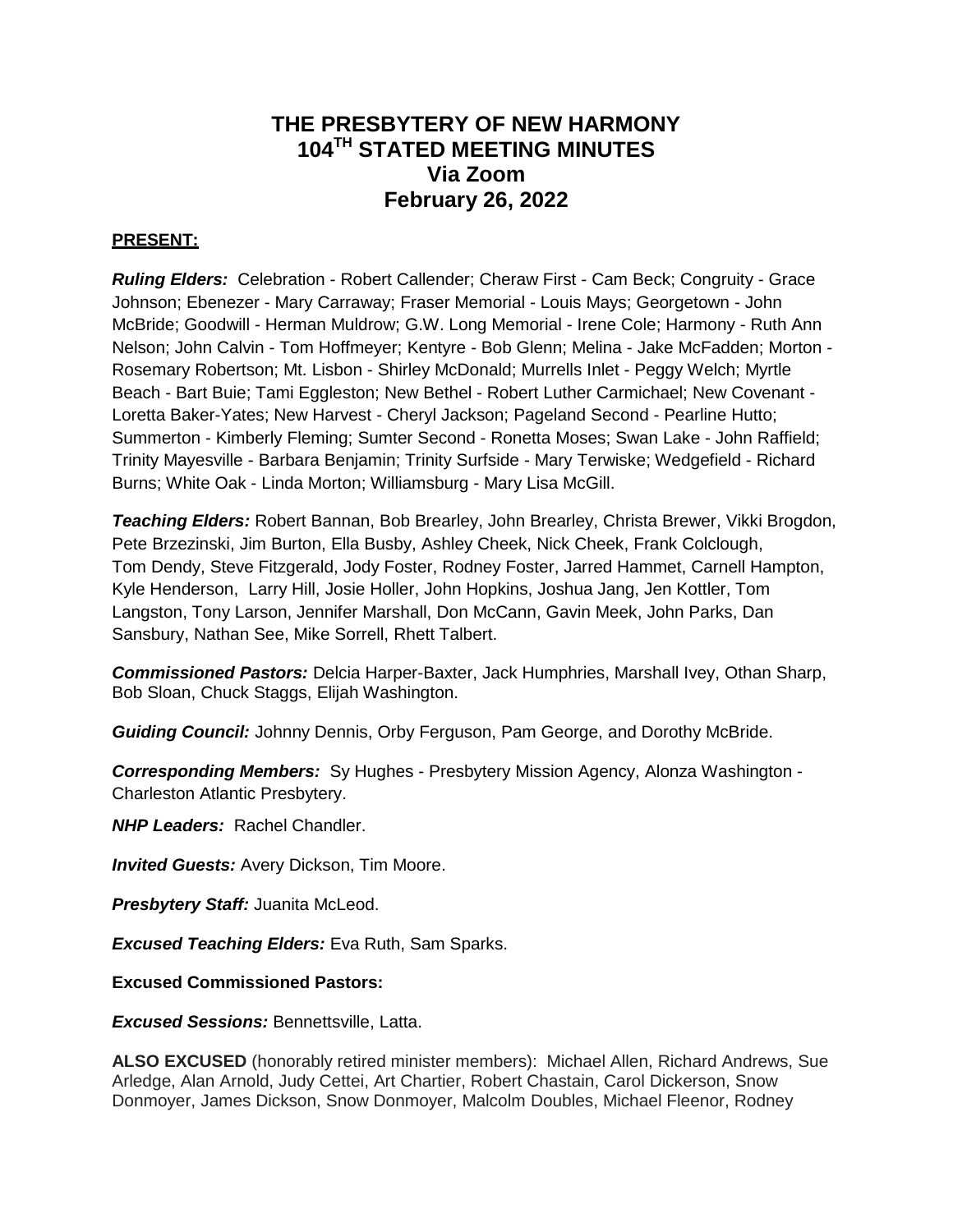## **THE PRESBYTERY OF NEW HARMONY 104TH STATED MEETING MINUTES Via Zoom February 26, 2022**

## **PRESENT:**

*Ruling Elders:* Celebration - Robert Callender; Cheraw First - Cam Beck; Congruity - Grace Johnson; Ebenezer - Mary Carraway; Fraser Memorial - Louis Mays; Georgetown - John McBride; Goodwill - Herman Muldrow; G.W. Long Memorial - Irene Cole; Harmony - Ruth Ann Nelson; John Calvin - Tom Hoffmeyer; Kentyre - Bob Glenn; Melina - Jake McFadden; Morton - Rosemary Robertson; Mt. Lisbon - Shirley McDonald; Murrells Inlet - Peggy Welch; Myrtle Beach - Bart Buie; Tami Eggleston; New Bethel - Robert Luther Carmichael; New Covenant - Loretta Baker-Yates; New Harvest - Cheryl Jackson; Pageland Second - Pearline Hutto; Summerton - Kimberly Fleming; Sumter Second - Ronetta Moses; Swan Lake - John Raffield; Trinity Mayesville - Barbara Benjamin; Trinity Surfside - Mary Terwiske; Wedgefield - Richard Burns; White Oak - Linda Morton; Williamsburg - Mary Lisa McGill.

*Teaching Elders:* Robert Bannan, Bob Brearley, John Brearley, Christa Brewer, Vikki Brogdon, Pete Brzezinski, Jim Burton, Ella Busby, Ashley Cheek, Nick Cheek, Frank Colclough, Tom Dendy, Steve Fitzgerald, Jody Foster, Rodney Foster, Jarred Hammet, Carnell Hampton, Kyle Henderson, Larry Hill, Josie Holler, John Hopkins, Joshua Jang, Jen Kottler, Tom Langston, Tony Larson, Jennifer Marshall, Don McCann, Gavin Meek, John Parks, Dan Sansbury, Nathan See, Mike Sorrell, Rhett Talbert.

*Commissioned Pastors:* Delcia Harper-Baxter, Jack Humphries, Marshall Ivey, Othan Sharp, Bob Sloan, Chuck Staggs, Elijah Washington.

*Guiding Council:* Johnny Dennis, Orby Ferguson, Pam George, and Dorothy McBride.

*Corresponding Members:* Sy Hughes - Presbytery Mission Agency, Alonza Washington - Charleston Atlantic Presbytery.

*NHP Leaders:* Rachel Chandler.

*Invited Guests:* Avery Dickson, Tim Moore.

*Presbytery Staff:* Juanita McLeod.

*Excused Teaching Elders:* Eva Ruth, Sam Sparks.

**Excused Commissioned Pastors:** 

*Excused Sessions:* Bennettsville, Latta.

**ALSO EXCUSED** (honorably retired minister members): Michael Allen, Richard Andrews, Sue Arledge, Alan Arnold, Judy Cettei, Art Chartier, Robert Chastain, Carol Dickerson, Snow Donmoyer, James Dickson, Snow Donmoyer, Malcolm Doubles, Michael Fleenor, Rodney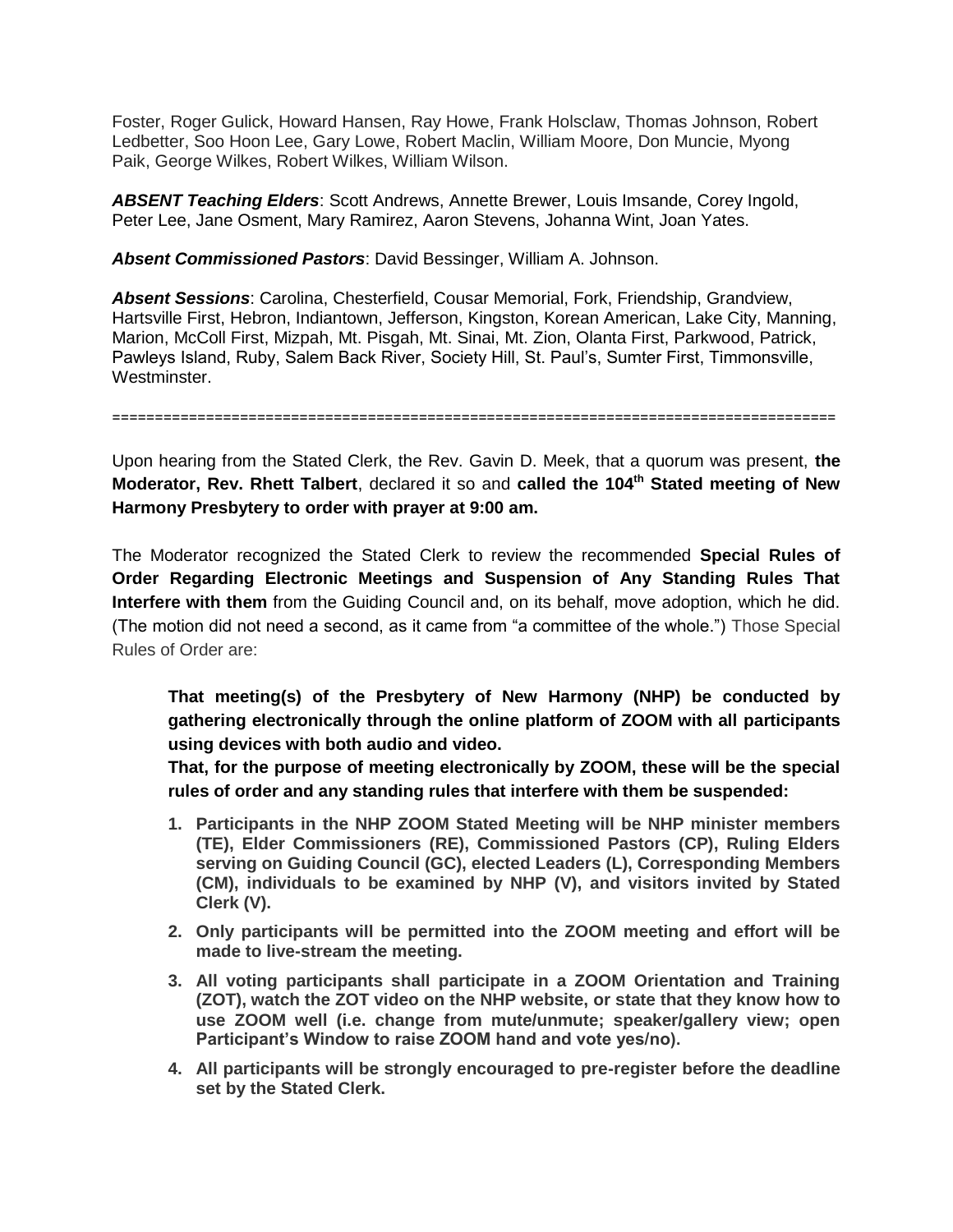Foster, Roger Gulick, Howard Hansen, Ray Howe, Frank Holsclaw, Thomas Johnson, Robert Ledbetter, Soo Hoon Lee, Gary Lowe, Robert Maclin, William Moore, Don Muncie, Myong Paik, George Wilkes, Robert Wilkes, William Wilson.

*ABSENT Teaching Elders*: Scott Andrews, Annette Brewer, Louis Imsande, Corey Ingold, Peter Lee, Jane Osment, Mary Ramirez, Aaron Stevens, Johanna Wint, Joan Yates.

*Absent Commissioned Pastors*: David Bessinger, William A. Johnson.

*Absent Sessions*: Carolina, Chesterfield, Cousar Memorial, Fork, Friendship, Grandview, Hartsville First, Hebron, Indiantown, Jefferson, Kingston, Korean American, Lake City, Manning, Marion, McColl First, Mizpah, Mt. Pisgah, Mt. Sinai, Mt. Zion, Olanta First, Parkwood, Patrick, Pawleys Island, Ruby, Salem Back River, Society Hill, St. Paul's, Sumter First, Timmonsville, Westminster.

=====================================================================================

Upon hearing from the Stated Clerk, the Rev. Gavin D. Meek, that a quorum was present, **the Moderator, Rev. Rhett Talbert**, declared it so and **called the 104th Stated meeting of New Harmony Presbytery to order with prayer at 9:00 am.**

The Moderator recognized the Stated Clerk to review the recommended **Special Rules of Order Regarding Electronic Meetings and Suspension of Any Standing Rules That Interfere with them** from the Guiding Council and, on its behalf, move adoption, which he did. (The motion did not need a second, as it came from "a committee of the whole.") Those Special Rules of Order are:

**That meeting(s) of the Presbytery of New Harmony (NHP) be conducted by gathering electronically through the online platform of ZOOM with all participants using devices with both audio and video.**

**That, for the purpose of meeting electronically by ZOOM, these will be the special rules of order and any standing rules that interfere with them be suspended:**

- **1. Participants in the NHP ZOOM Stated Meeting will be NHP minister members (TE), Elder Commissioners (RE), Commissioned Pastors (CP), Ruling Elders serving on Guiding Council (GC), elected Leaders (L), Corresponding Members (CM), individuals to be examined by NHP (V), and visitors invited by Stated Clerk (V).**
- **2. Only participants will be permitted into the ZOOM meeting and effort will be made to live-stream the meeting.**
- **3. All voting participants shall participate in a ZOOM Orientation and Training (ZOT), watch the ZOT video on the NHP website, or state that they know how to use ZOOM well (i.e. change from mute/unmute; speaker/gallery view; open Participant's Window to raise ZOOM hand and vote yes/no).**
- **4. All participants will be strongly encouraged to pre-register before the deadline set by the Stated Clerk.**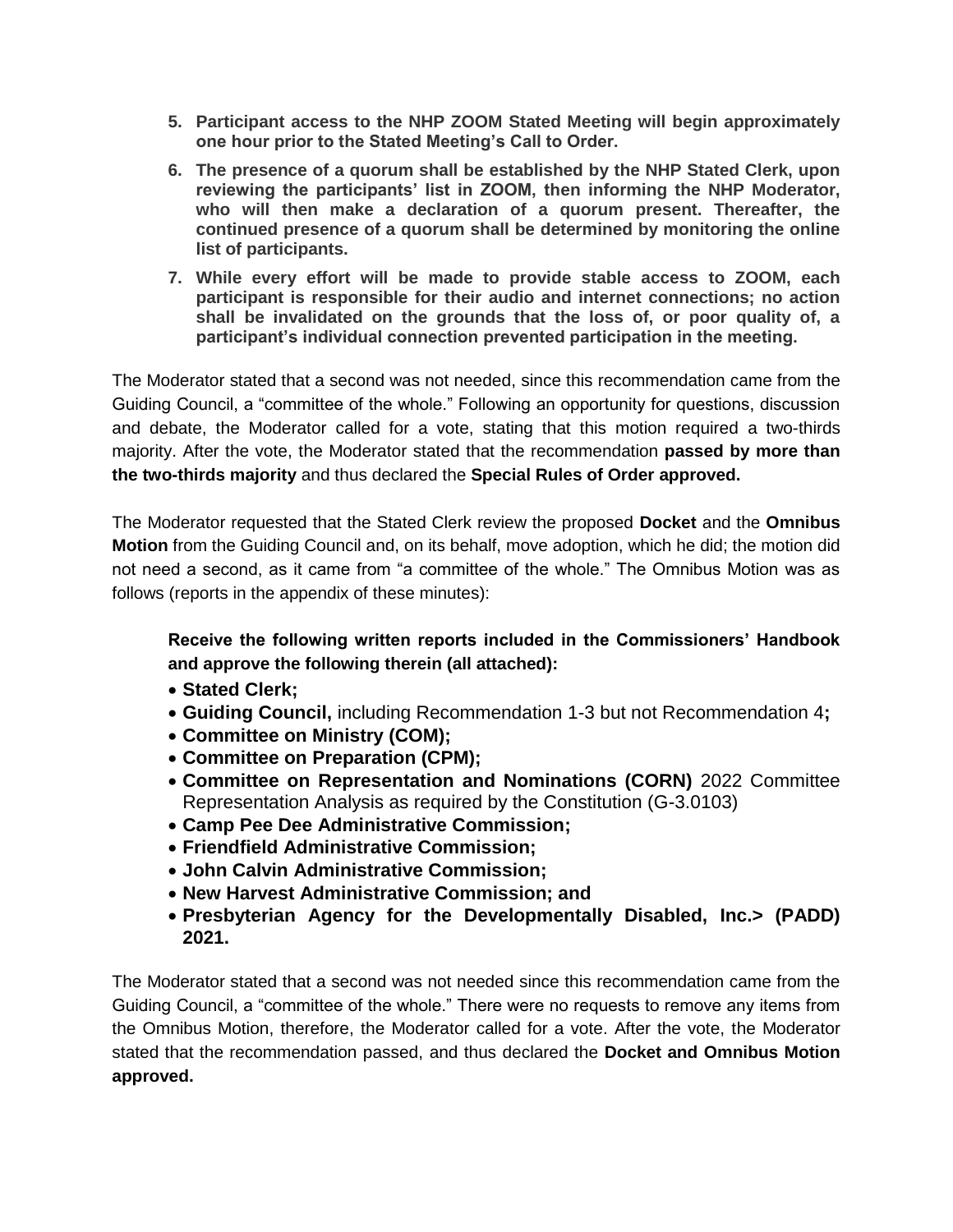- **5. Participant access to the NHP ZOOM Stated Meeting will begin approximately one hour prior to the Stated Meeting's Call to Order.**
- **6. The presence of a quorum shall be established by the NHP Stated Clerk, upon reviewing the participants' list in ZOOM, then informing the NHP Moderator, who will then make a declaration of a quorum present. Thereafter, the continued presence of a quorum shall be determined by monitoring the online list of participants.**
- **7. While every effort will be made to provide stable access to ZOOM, each participant is responsible for their audio and internet connections; no action shall be invalidated on the grounds that the loss of, or poor quality of, a participant's individual connection prevented participation in the meeting.**

The Moderator stated that a second was not needed, since this recommendation came from the Guiding Council, a "committee of the whole." Following an opportunity for questions, discussion and debate, the Moderator called for a vote, stating that this motion required a two-thirds majority. After the vote, the Moderator stated that the recommendation **passed by more than the two-thirds majority** and thus declared the **Special Rules of Order approved.**

The Moderator requested that the Stated Clerk review the proposed **Docket** and the **Omnibus Motion** from the Guiding Council and, on its behalf, move adoption, which he did; the motion did not need a second, as it came from "a committee of the whole." The Omnibus Motion was as follows (reports in the appendix of these minutes):

**Receive the following written reports included in the Commissioners' Handbook and approve the following therein (all attached):**

- **Stated Clerk;**
- **Guiding Council,** including Recommendation 1-3 but not Recommendation 4**;**
- **Committee on Ministry (COM);**
- **Committee on Preparation (CPM);**
- **Committee on Representation and Nominations (CORN)** 2022 Committee Representation Analysis as required by the Constitution (G-3.0103)
- **Camp Pee Dee Administrative Commission;**
- **Friendfield Administrative Commission;**
- **John Calvin Administrative Commission;**
- **New Harvest Administrative Commission; and**
- **Presbyterian Agency for the Developmentally Disabled, Inc.> (PADD) 2021.**

The Moderator stated that a second was not needed since this recommendation came from the Guiding Council, a "committee of the whole." There were no requests to remove any items from the Omnibus Motion, therefore, the Moderator called for a vote. After the vote, the Moderator stated that the recommendation passed, and thus declared the **Docket and Omnibus Motion approved.**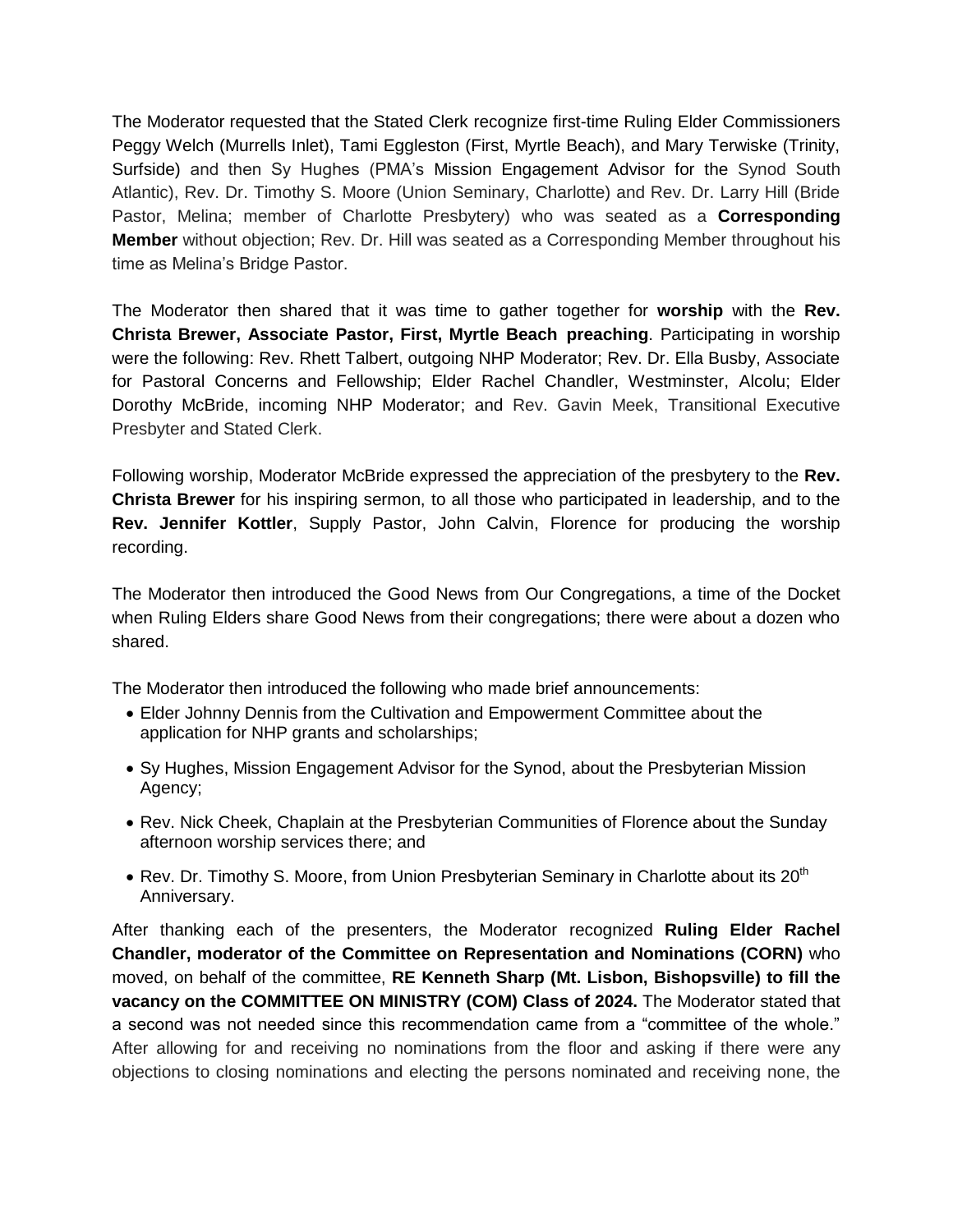The Moderator requested that the Stated Clerk recognize first-time Ruling Elder Commissioners Peggy Welch (Murrells Inlet), Tami Eggleston (First, Myrtle Beach), and Mary Terwiske (Trinity, Surfside) and then Sy Hughes (PMA's Mission Engagement Advisor for the Synod South Atlantic), Rev. Dr. Timothy S. Moore (Union Seminary, Charlotte) and Rev. Dr. Larry Hill (Bride Pastor, Melina; member of Charlotte Presbytery) who was seated as a **Corresponding Member** without objection; Rev. Dr. Hill was seated as a Corresponding Member throughout his time as Melina's Bridge Pastor.

The Moderator then shared that it was time to gather together for **worship** with the **Rev. Christa Brewer, Associate Pastor, First, Myrtle Beach preaching**. Participating in worship were the following: Rev. Rhett Talbert, outgoing NHP Moderator; Rev. Dr. Ella Busby, Associate for Pastoral Concerns and Fellowship; Elder Rachel Chandler, Westminster, Alcolu; Elder Dorothy McBride, incoming NHP Moderator; and Rev. Gavin Meek, Transitional Executive Presbyter and Stated Clerk.

Following worship, Moderator McBride expressed the appreciation of the presbytery to the **Rev. Christa Brewer** for his inspiring sermon, to all those who participated in leadership, and to the **Rev. Jennifer Kottler**, Supply Pastor, John Calvin, Florence for producing the worship recording.

The Moderator then introduced the Good News from Our Congregations, a time of the Docket when Ruling Elders share Good News from their congregations; there were about a dozen who shared.

The Moderator then introduced the following who made brief announcements:

- Elder Johnny Dennis from the Cultivation and Empowerment Committee about the application for NHP grants and scholarships;
- Sy Hughes, Mission Engagement Advisor for the Synod, about the Presbyterian Mission Agency;
- Rev. Nick Cheek, Chaplain at the Presbyterian Communities of Florence about the Sunday afternoon worship services there; and
- Rev. Dr. Timothy S. Moore, from Union Presbyterian Seminary in Charlotte about its  $20<sup>th</sup>$ Anniversary.

After thanking each of the presenters, the Moderator recognized **Ruling Elder Rachel Chandler, moderator of the Committee on Representation and Nominations (CORN)** who moved, on behalf of the committee, **RE Kenneth Sharp (Mt. Lisbon, Bishopsville) to fill the vacancy on the COMMITTEE ON MINISTRY (COM) Class of 2024.** The Moderator stated that a second was not needed since this recommendation came from a "committee of the whole." After allowing for and receiving no nominations from the floor and asking if there were any objections to closing nominations and electing the persons nominated and receiving none, the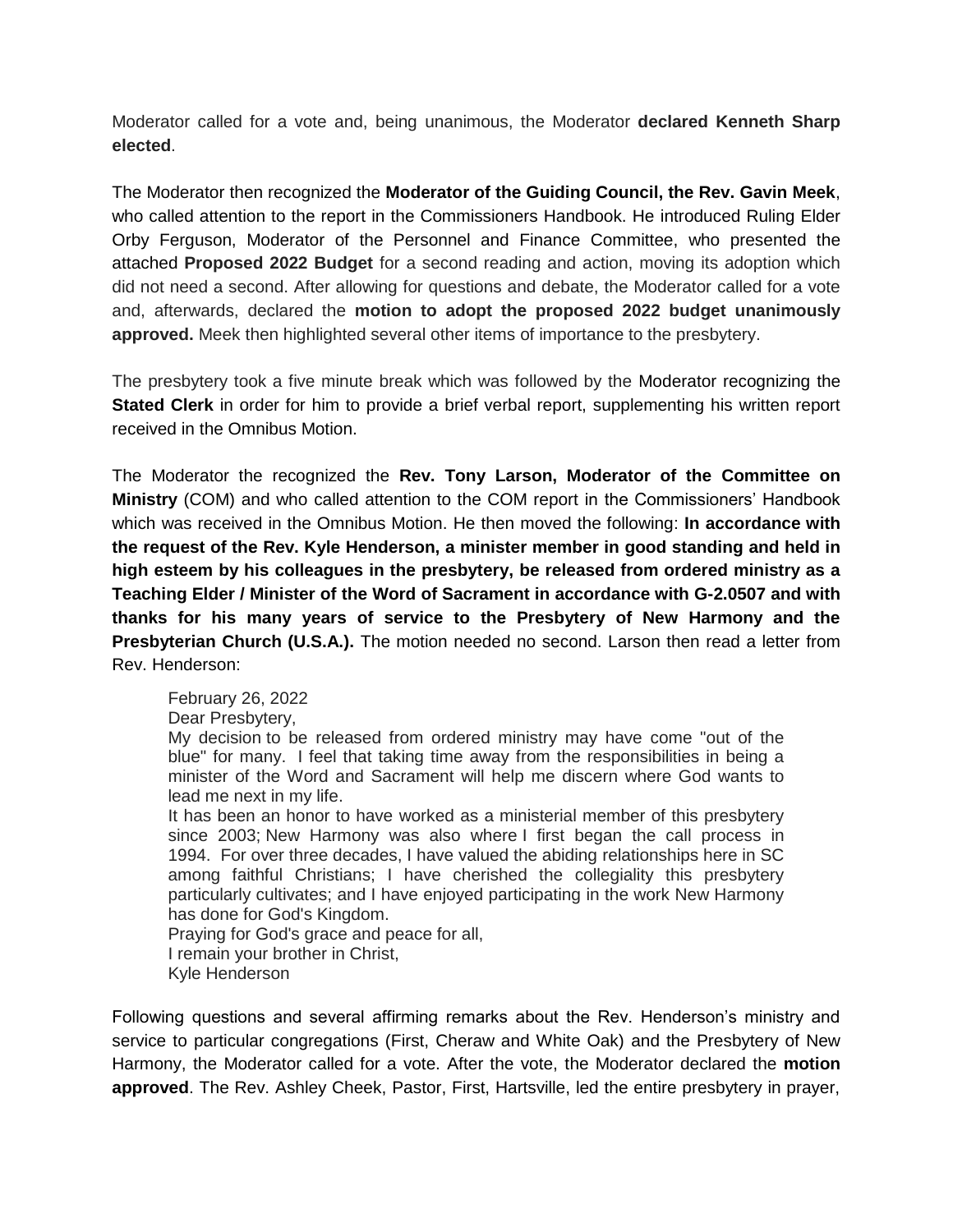Moderator called for a vote and, being unanimous, the Moderator **declared Kenneth Sharp elected**.

The Moderator then recognized the **Moderator of the Guiding Council, the Rev. Gavin Meek**, who called attention to the report in the Commissioners Handbook. He introduced Ruling Elder Orby Ferguson, Moderator of the Personnel and Finance Committee, who presented the attached **Proposed 2022 Budget** for a second reading and action, moving its adoption which did not need a second. After allowing for questions and debate, the Moderator called for a vote and, afterwards, declared the **motion to adopt the proposed 2022 budget unanimously approved.** Meek then highlighted several other items of importance to the presbytery.

The presbytery took a five minute break which was followed by the Moderator recognizing the **Stated Clerk** in order for him to provide a brief verbal report, supplementing his written report received in the Omnibus Motion.

The Moderator the recognized the **Rev. Tony Larson, Moderator of the Committee on Ministry** (COM) and who called attention to the COM report in the Commissioners' Handbook which was received in the Omnibus Motion. He then moved the following: **In accordance with the request of the Rev. Kyle Henderson, a minister member in good standing and held in high esteem by his colleagues in the presbytery, be released from ordered ministry as a Teaching Elder / Minister of the Word of Sacrament in accordance with G-2.0507 and with thanks for his many years of service to the Presbytery of New Harmony and the Presbyterian Church (U.S.A.).** The motion needed no second. Larson then read a letter from Rev. Henderson:

February 26, 2022

Dear Presbytery,

My decision to be released from ordered ministry may have come "out of the blue" for many. I feel that taking time away from the responsibilities in being a minister of the Word and Sacrament will help me discern where God wants to lead me next in my life.

It has been an honor to have worked as a ministerial member of this presbytery since 2003; New Harmony was also where I first began the call process in 1994. For over three decades, I have valued the abiding relationships here in SC among faithful Christians; I have cherished the collegiality this presbytery particularly cultivates; and I have enjoyed participating in the work New Harmony has done for God's Kingdom.

Praying for God's grace and peace for all, I remain your brother in Christ,

Kyle Henderson

Following questions and several affirming remarks about the Rev. Henderson's ministry and service to particular congregations (First, Cheraw and White Oak) and the Presbytery of New Harmony, the Moderator called for a vote. After the vote, the Moderator declared the **motion approved**. The Rev. Ashley Cheek, Pastor, First, Hartsville, led the entire presbytery in prayer,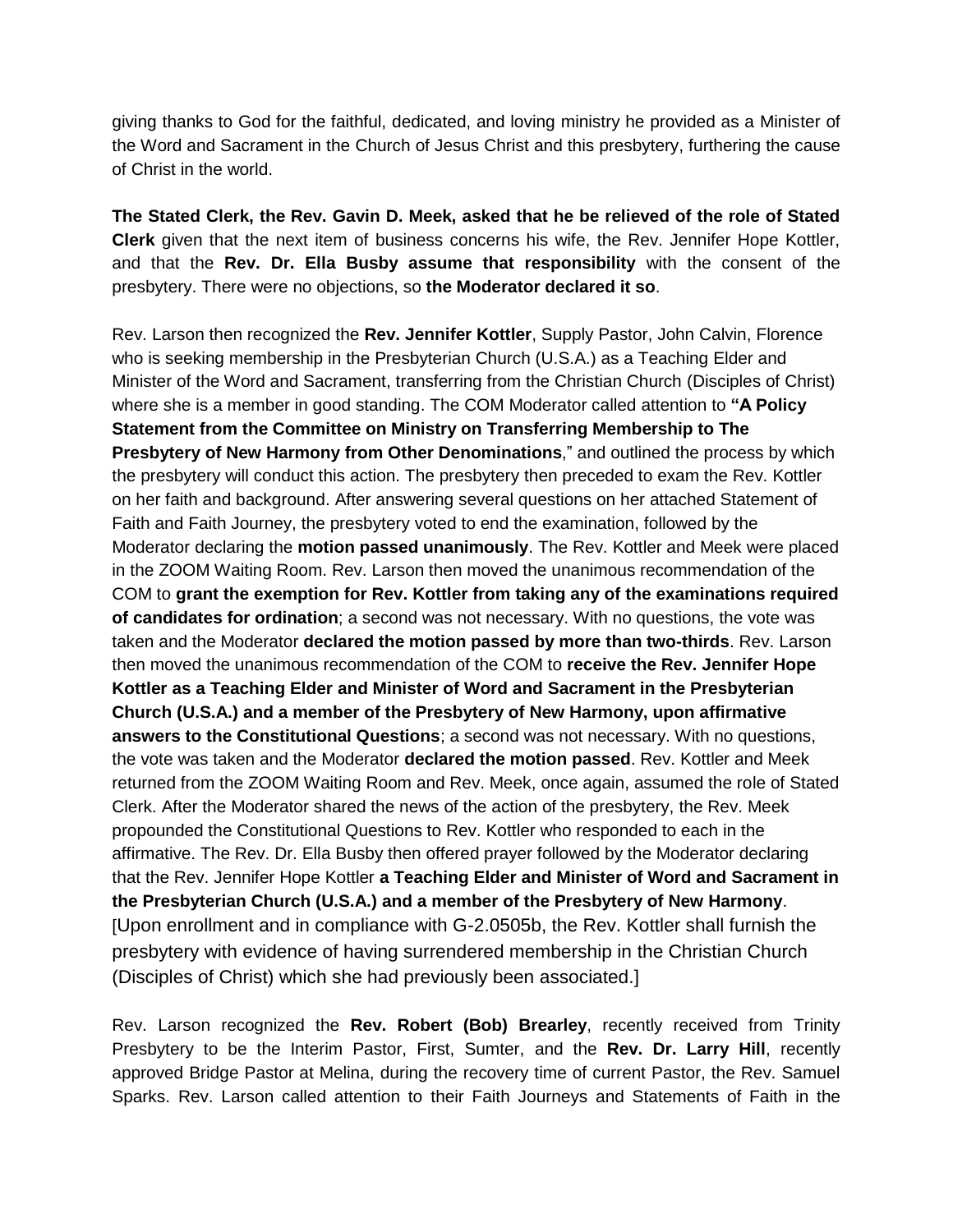giving thanks to God for the faithful, dedicated, and loving ministry he provided as a Minister of the Word and Sacrament in the Church of Jesus Christ and this presbytery, furthering the cause of Christ in the world.

**The Stated Clerk, the Rev. Gavin D. Meek, asked that he be relieved of the role of Stated Clerk** given that the next item of business concerns his wife, the Rev. Jennifer Hope Kottler, and that the **Rev. Dr. Ella Busby assume that responsibility** with the consent of the presbytery. There were no objections, so **the Moderator declared it so**.

Rev. Larson then recognized the **Rev. Jennifer Kottler**, Supply Pastor, John Calvin, Florence who is seeking membership in the Presbyterian Church (U.S.A.) as a Teaching Elder and Minister of the Word and Sacrament, transferring from the Christian Church (Disciples of Christ) where she is a member in good standing. The COM Moderator called attention to **"A Policy Statement from the Committee on Ministry on Transferring Membership to The Presbytery of New Harmony from Other Denominations**," and outlined the process by which the presbytery will conduct this action. The presbytery then preceded to exam the Rev. Kottler on her faith and background. After answering several questions on her attached Statement of Faith and Faith Journey, the presbytery voted to end the examination, followed by the Moderator declaring the **motion passed unanimously**. The Rev. Kottler and Meek were placed in the ZOOM Waiting Room. Rev. Larson then moved the unanimous recommendation of the COM to **grant the exemption for Rev. Kottler from taking any of the examinations required of candidates for ordination**; a second was not necessary. With no questions, the vote was taken and the Moderator **declared the motion passed by more than two-thirds**. Rev. Larson then moved the unanimous recommendation of the COM to **receive the Rev. Jennifer Hope Kottler as a Teaching Elder and Minister of Word and Sacrament in the Presbyterian Church (U.S.A.) and a member of the Presbytery of New Harmony, upon affirmative answers to the Constitutional Questions**; a second was not necessary. With no questions, the vote was taken and the Moderator **declared the motion passed**. Rev. Kottler and Meek returned from the ZOOM Waiting Room and Rev. Meek, once again, assumed the role of Stated Clerk. After the Moderator shared the news of the action of the presbytery, the Rev. Meek propounded the Constitutional Questions to Rev. Kottler who responded to each in the affirmative. The Rev. Dr. Ella Busby then offered prayer followed by the Moderator declaring that the Rev. Jennifer Hope Kottler **a Teaching Elder and Minister of Word and Sacrament in the Presbyterian Church (U.S.A.) and a member of the Presbytery of New Harmony**. [Upon enrollment and in compliance with G-2.0505b, the Rev. Kottler shall furnish the presbytery with evidence of having surrendered membership in the Christian Church (Disciples of Christ) which she had previously been associated.]

Rev. Larson recognized the **Rev. Robert (Bob) Brearley**, recently received from Trinity Presbytery to be the Interim Pastor, First, Sumter, and the **Rev. Dr. Larry Hill**, recently approved Bridge Pastor at Melina, during the recovery time of current Pastor, the Rev. Samuel Sparks. Rev. Larson called attention to their Faith Journeys and Statements of Faith in the